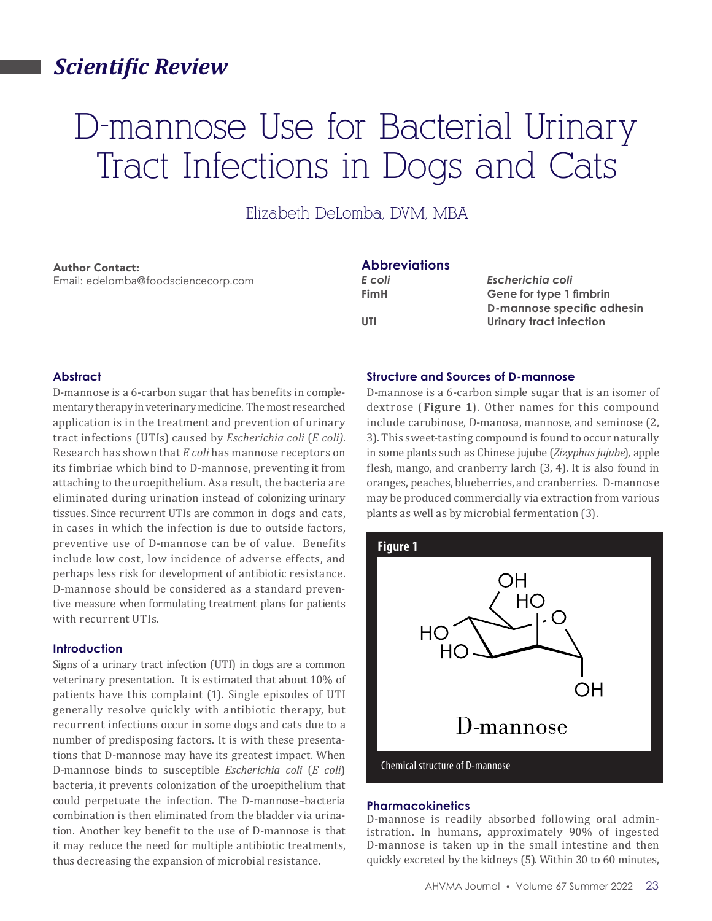# *Scientific Review*

# D-mannose Use for Bacterial Urinary Tract Infections in Dogs and Cats

Elizabeth DeLomba, DVM, MBA

#### Author Contact:

Email: edelomba@foodsciencecorp.com

## **Abbreviations**

*E coli Escherichia coli* **FimH Gene for type 1 fimbrin D-mannose specific adhesin**  UTI Urinary tract infection

### **Abstract**

D-mannose is a 6-carbon sugar that has benefits in complementary therapy in veterinary medicine. The most researched application is in the treatment and prevention of urinary tract infections (UTIs) caused by *Escherichia coli* (*E coli)*. Research has shown that *E coli* has mannose receptors on its fimbriae which bind to D-mannose, preventing it from attaching to the uroepithelium. As a result, the bacteria are eliminated during urination instead of colonizing urinary tissues. Since recurrent UTIs are common in dogs and cats, in cases in which the infection is due to outside factors, preventive use of D-mannose can be of value. Benefits include low cost, low incidence of adverse effects, and perhaps less risk for development of antibiotic resistance. D-mannose should be considered as a standard preventive measure when formulating treatment plans for patients with recurrent UTIs.

#### **Introduction**

Signs of a urinary tract infection (UTI) in dogs are a common veterinary presentation. It is estimated that about 10% of patients have this complaint (1). Single episodes of UTI generally resolve quickly with antibiotic therapy, but recurrent infections occur in some dogs and cats due to a number of predisposing factors. It is with these presentations that D-mannose may have its greatest impact. When D-mannose binds to susceptible *Escherichia coli* (*E coli*) bacteria, it prevents colonization of the uroepithelium that could perpetuate the infection. The D-mannose–bacteria combination is then eliminated from the bladder via urination. Another key benefit to the use of D-mannose is that it may reduce the need for multiple antibiotic treatments, thus decreasing the expansion of microbial resistance.

#### **Structure and Sources of D-mannose**

D-mannose is a 6-carbon simple sugar that is an isomer of dextrose (**Figure 1**). Other names for this compound include carubinose, D-manosa, mannose, and seminose (2, 3). This sweet-tasting compound is found to occur naturally in some plants such as Chinese jujube (*Zizyphus jujube*), apple flesh, mango, and cranberry larch (3, 4). It is also found in oranges, peaches, blueberries, and cranberries. D-mannose may be produced commercially via extraction from various plants as well as by microbial fermentation (3).



#### **Pharmacokinetics**

D-mannose is readily absorbed following oral administration. In humans, approximately 90% of ingested D-mannose is taken up in the small intestine and then quickly excreted by the kidneys (5). Within 30 to 60 minutes,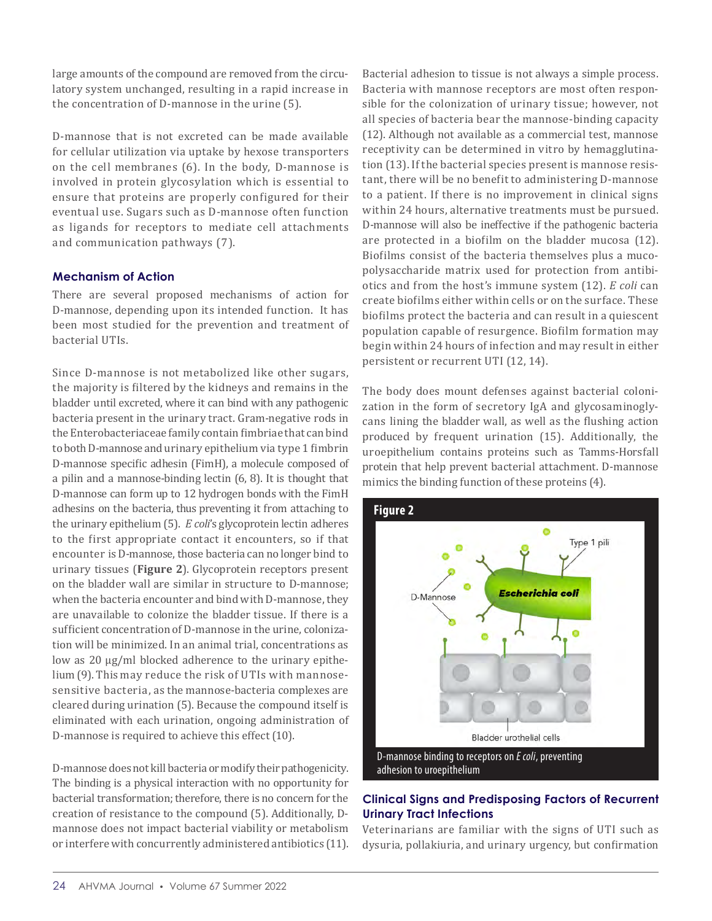large amounts of the compound are removed from the circulatory system unchanged, resulting in a rapid increase in the concentration of D-mannose in the urine (5).

D-mannose that is not excreted can be made available for cellular utilization via uptake by hexose transporters on the cell membranes (6). In the body, D-mannose is involved in protein glycosylation which is essential to ensure that proteins are properly configured for their eventual use. Sugars such as D-mannose often function as ligands for receptors to mediate cell attachments and communication pathways (7).

### **Mechanism of Action**

There are several proposed mechanisms of action for D-mannose, depending upon its intended function. It has been most studied for the prevention and treatment of bacterial UTIs.

Since D-mannose is not metabolized like other sugars, the majority is filtered by the kidneys and remains in the bladder until excreted, where it can bind with any pathogenic bacteria present in the urinary tract. Gram-negative rods in the Enterobacteriaceae family contain fimbriae that can bind to both D-mannose and urinary epithelium via type 1 fimbrin D-mannose specific adhesin (FimH), a molecule composed of a pilin and a mannose-binding lectin (6, 8). It is thought that D-mannose can form up to 12 hydrogen bonds with the FimH adhesins on the bacteria, thus preventing it from attaching to the urinary epithelium (5). *E coli*'s glycoprotein lectin adheres to the first appropriate contact it encounters, so if that encounter is D-mannose, those bacteria can no longer bind to urinary tissues (**Figure 2**). Glycoprotein receptors present on the bladder wall are similar in structure to D-mannose; when the bacteria encounter and bind with D-mannose, they are unavailable to colonize the bladder tissue. If there is a sufficient concentration of D-mannose in the urine, colonization will be minimized. In an animal trial, concentrations as low as 20 μg/ml blocked adherence to the urinary epithelium (9). This may reduce the risk of UTIs with mannosesensitive bacteria, as the mannose-bacteria complexes are cleared during urination (5). Because the compound itself is eliminated with each urination, ongoing administration of D-mannose is required to achieve this effect (10).

D-mannose does not kill bacteria or modify their pathogenicity. The binding is a physical interaction with no opportunity for bacterial transformation; therefore, there is no concern for the creation of resistance to the compound (5). Additionally, Dmannose does not impact bacterial viability or metabolism or interfere with concurrently administered antibiotics (11).

Bacterial adhesion to tissue is not always a simple process. Bacteria with mannose receptors are most often responsible for the colonization of urinary tissue; however, not all species of bacteria bear the mannose-binding capacity (12). Although not available as a commercial test, mannose receptivity can be determined in vitro by hemagglutination (13). If the bacterial species present is mannose resistant, there will be no benefit to administering D-mannose to a patient. If there is no improvement in clinical signs within 24 hours, alternative treatments must be pursued. D-mannose will also be ineffective if the pathogenic bacteria are protected in a biofilm on the bladder mucosa (12). Biofilms consist of the bacteria themselves plus a mucopolysaccharide matrix used for protection from antibiotics and from the host's immune system (12). *E coli* can create biofilms either within cells or on the surface. These biofilms protect the bacteria and can result in a quiescent population capable of resurgence. Biofilm formation may begin within 24 hours of infection and may result in either persistent or recurrent UTI (12, 14).

The body does mount defenses against bacterial colonization in the form of secretory IgA and glycosaminoglycans lining the bladder wall, as well as the flushing action produced by frequent urination (15). Additionally, the uroepithelium contains proteins such as Tamms-Horsfall protein that help prevent bacterial attachment. D-mannose mimics the binding function of these proteins (4).



# **Clinical Signs and Predisposing Factors of Recurrent Urinary Tract Infections**

Veterinarians are familiar with the signs of UTI such as dysuria, pollakiuria, and urinary urgency, but confirmation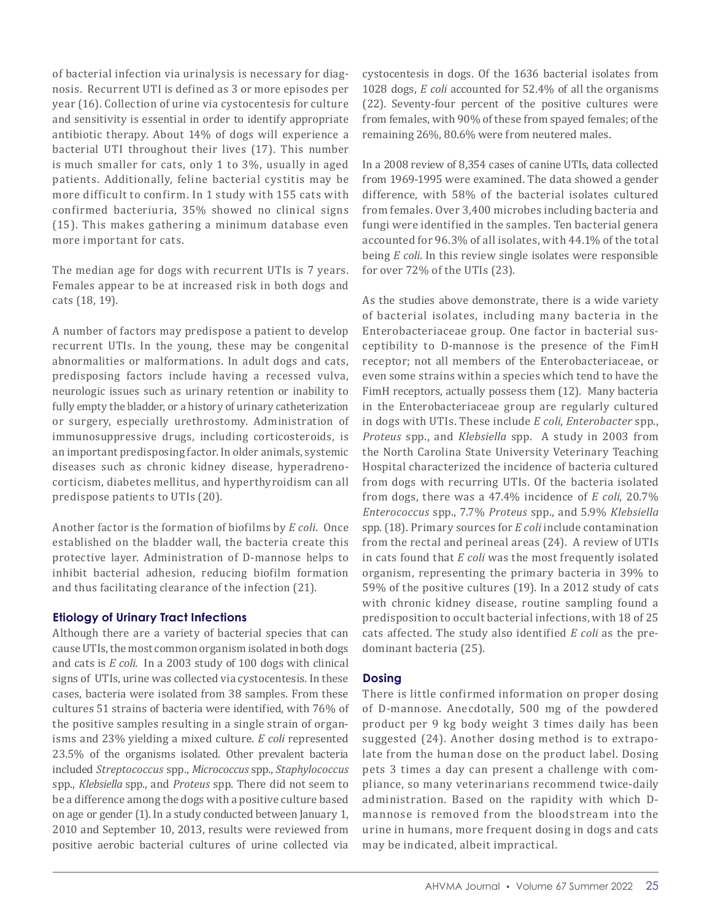of bacterial infection via urinalysis is necessary for diagnosis. Recurrent UTI is defined as 3 or more episodes per year (16). Collection of urine via cystocentesis for culture and sensitivity is essential in order to identify appropriate antibiotic therapy. About 14% of dogs will experience a bacterial UTI throughout their lives (17). This number is much smaller for cats, only 1 to 3%, usually in aged patients. Additionally, feline bacterial cystitis may be more difficult to confirm. In 1 study with 155 cats with confirmed bacteriuria, 35% showed no clinical signs (15). This makes gathering a minimum database even more important for cats.

The median age for dogs with recurrent UTIs is 7 years. Females appear to be at increased risk in both dogs and cats (18, 19).

A number of factors may predispose a patient to develop recurrent UTIs. In the young, these may be congenital abnormalities or malformations. In adult dogs and cats, predisposing factors include having a recessed vulva, neurologic issues such as urinary retention or inability to fully empty the bladder, or a history of urinary catheterization or surgery, especially urethrostomy. Administration of immunosuppressive drugs, including corticosteroids, is an important predisposing factor. In older animals, systemic diseases such as chronic kidney disease, hyperadrenocorticism, diabetes mellitus, and hyperthyroidism can all predispose patients to UTIs (20).

Another factor is the formation of biofilms by *E coli*. Once established on the bladder wall, the bacteria create this protective layer. Administration of D-mannose helps to inhibit bacterial adhesion, reducing biofilm formation and thus facilitating clearance of the infection (21).

#### **Etiology of Urinary Tract Infections**

Although there are a variety of bacterial species that can cause UTIs, the most common organism isolated in both dogs and cats is *E coli*. In a 2003 study of 100 dogs with clinical signs of UTIs, urine was collected via cystocentesis. In these cases, bacteria were isolated from 38 samples. From these cultures 51 strains of bacteria were identified, with 76% of the positive samples resulting in a single strain of organisms and 23% yielding a mixed culture. *E coli* represented 23.5% of the organisms isolated. Other prevalent bacteria included *Streptococcus* spp., *Micrococcus* spp., *Staphylococcus*  spp., *Klebsiella* spp., and *Proteus* spp. There did not seem to be a difference among the dogs with a positive culture based on age or gender (1). In a study conducted between January 1, 2010 and September 10, 2013, results were reviewed from positive aerobic bacterial cultures of urine collected via

cystocentesis in dogs. Of the 1636 bacterial isolates from 1028 dogs, *E coli* accounted for 52.4% of all the organisms (22). Seventy-four percent of the positive cultures were from females, with 90% of these from spayed females; of the remaining 26%, 80.6% were from neutered males.

In a 2008 review of 8,354 cases of canine UTIs, data collected from 1969-1995 were examined. The data showed a gender difference, with 58% of the bacterial isolates cultured from females. Over 3,400 microbes including bacteria and fungi were identified in the samples. Ten bacterial genera accounted for 96.3% of all isolates, with 44.1% of the total being *E coli*. In this review single isolates were responsible for over 72% of the UTIs (23).

As the studies above demonstrate, there is a wide variety of bacterial isolates, including many bacteria in the Enterobacteriaceae group. One factor in bacterial susceptibility to D-mannose is the presence of the FimH receptor; not all members of the Enterobacteriaceae, or even some strains within a species which tend to have the FimH receptors, actually possess them (12). Many bacteria in the Enterobacteriaceae group are regularly cultured in dogs with UTIs. These include *E coli*, *Enterobacter* spp., *Proteus* spp., and *Klebsiella* spp. A study in 2003 from the North Carolina State University Veterinary Teaching Hospital characterized the incidence of bacteria cultured from dogs with recurring UTIs. Of the bacteria isolated from dogs, there was a 47.4% incidence of *E coli*, 20.7% *Enterococcus* spp., 7.7% *Proteus* spp., and 5.9% *Klebsiella* spp. (18). Primary sources for *E coli* include contamination from the rectal and perineal areas (24). A review of UTIs in cats found that *E coli* was the most frequently isolated organism, representing the primary bacteria in 39% to 59% of the positive cultures (19). In a 2012 study of cats with chronic kidney disease, routine sampling found a predisposition to occult bacterial infections, with 18 of 25 cats affected. The study also identified *E coli* as the predominant bacteria (25).

#### **Dosing**

There is little confirmed information on proper dosing of D-mannose. Anecdotally, 500 mg of the powdered product per 9 kg body weight 3 times daily has been suggested (24). Another dosing method is to extrapolate from the human dose on the product label. Dosing pets 3 times a day can present a challenge with compliance, so many veterinarians recommend twice-daily administration. Based on the rapidity with which Dmannose is removed from the bloodstream into the urine in humans, more frequent dosing in dogs and cats may be indicated, albeit impractical.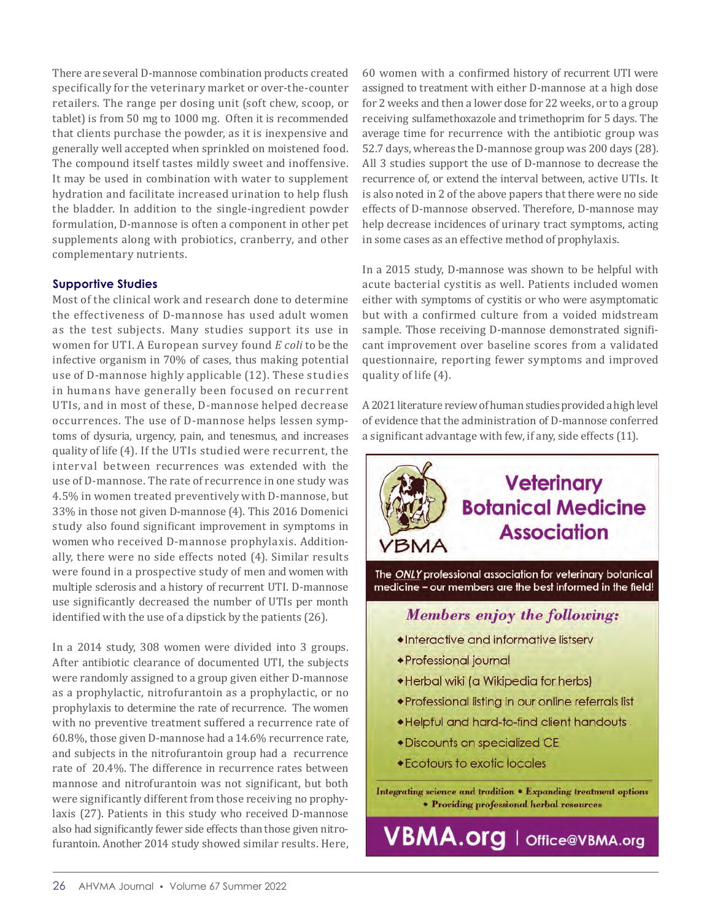There are several D-mannose combination products created specifically for the veterinary market or over-the-counter retailers. The range per dosing unit (soft chew, scoop, or tablet) is from 50 mg to 1000 mg. Often it is recommended that clients purchase the powder, as it is inexpensive and generally well accepted when sprinkled on moistened food. The compound itself tastes mildly sweet and inoffensive. It may be used in combination with water to supplement hydration and facilitate increased urination to help flush the bladder. In addition to the single-ingredient powder formulation, D-mannose is often a component in other pet supplements along with probiotics, cranberry, and other complementary nutrients.

#### **Supportive Studies**

Most of the clinical work and research done to determine the effectiveness of D-mannose has used adult women as the test subjects. Many studies support its use in women for UTI. A European survey found *E coli* to be the infective organism in 70% of cases, thus making potential use of D-mannose highly applicable (12). These studies in humans have generally been focused on recurrent UTIs, and in most of these, D-mannose helped decrease occurrences. The use of D-mannose helps lessen symptoms of dysuria, urgency, pain, and tenesmus, and increases quality of life (4). If the UTIs studied were recurrent, the interval between recurrences was extended with the use of D-mannose. The rate of recurrence in one study was 4.5% in women treated preventively with D-mannose, but 33% in those not given D-mannose (4). This 2016 Domenici study also found significant improvement in symptoms in women who received D-mannose prophylaxis. Additionally, there were no side effects noted (4). Similar results were found in a prospective study of men and women with multiple sclerosis and a history of recurrent UTI. D-mannose use significantly decreased the number of UTIs per month identified with the use of a dipstick by the patients (26).

In a 2014 study, 308 women were divided into 3 groups. After antibiotic clearance of documented UTI, the subjects were randomly assigned to a group given either D-mannose as a prophylactic, nitrofurantoin as a prophylactic, or no prophylaxis to determine the rate of recurrence. The women with no preventive treatment suffered a recurrence rate of 60.8%, those given D-mannose had a 14.6% recurrence rate, and subjects in the nitrofurantoin group had a recurrence rate of 20.4%. The difference in recurrence rates between mannose and nitrofurantoin was not significant, but both were significantly different from those receiving no prophylaxis (27). Patients in this study who received D-mannose also had significantly fewer side effects than those given nitrofurantoin. Another 2014 study showed similar results. Here,

60 women with a confirmed history of recurrent UTI were assigned to treatment with either D-mannose at a high dose for 2 weeks and then a lower dose for 22 weeks, or to a group receiving sulfamethoxazole and trimethoprim for 5 days. The average time for recurrence with the antibiotic group was 52.7 days, whereas the D-mannose group was 200 days (28). All 3 studies support the use of D-mannose to decrease the recurrence of, or extend the interval between, active UTIs. It is also noted in 2 of the above papers that there were no side effects of D-mannose observed. Therefore, D-mannose may help decrease incidences of urinary tract symptoms, acting in some cases as an effective method of prophylaxis.

In a 2015 study, D-mannose was shown to be helpful with acute bacterial cystitis as well. Patients included women either with symptoms of cystitis or who were asymptomatic but with a confirmed culture from a voided midstream sample. Those receiving D-mannose demonstrated significant improvement over baseline scores from a validated questionnaire, reporting fewer symptoms and improved quality of life (4).

A 2021 literature review of human studies provided a high level of evidence that the administration of D-mannose conferred a significant advantage with few, if any, side effects (11).

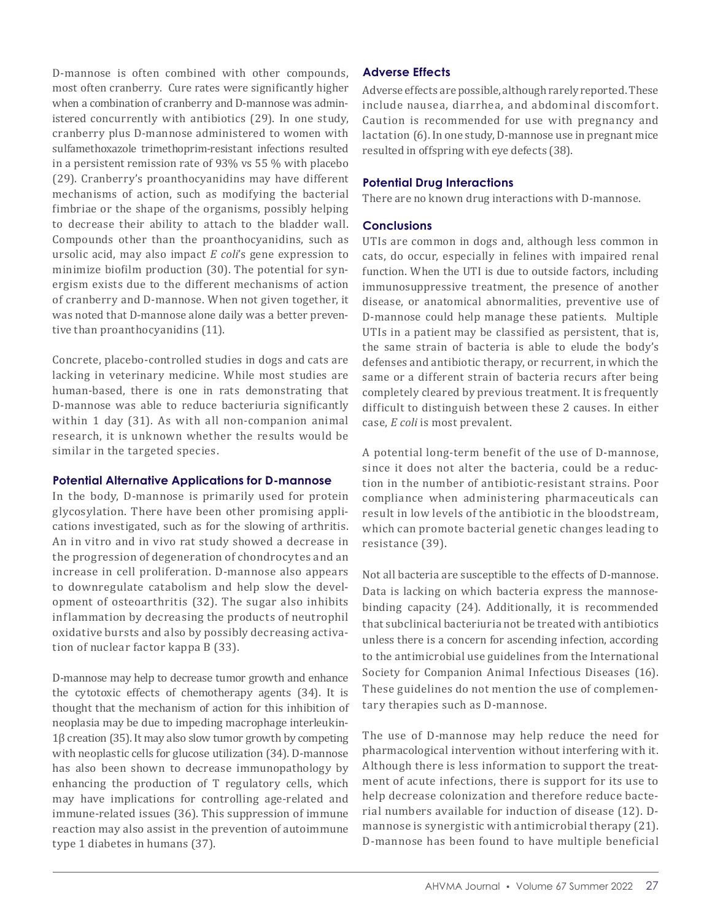D-mannose is often combined with other compounds, most often cranberry. Cure rates were significantly higher when a combination of cranberry and D-mannose was administered concurrently with antibiotics (29). In one study, cranberry plus D-mannose administered to women with sulfamethoxazole trimethoprim-resistant infections resulted in a persistent remission rate of 93% vs 55 % with placebo (29). Cranberry's proanthocyanidins may have different mechanisms of action, such as modifying the bacterial fimbriae or the shape of the organisms, possibly helping to decrease their ability to attach to the bladder wall. Compounds other than the proanthocyanidins, such as ursolic acid, may also impact *E coli*'s gene expression to minimize biofilm production (30). The potential for synergism exists due to the different mechanisms of action of cranberry and D-mannose. When not given together, it was noted that D-mannose alone daily was a better preventive than proanthocyanidins (11).

Concrete, placebo-controlled studies in dogs and cats are lacking in veterinary medicine. While most studies are human-based, there is one in rats demonstrating that D-mannose was able to reduce bacteriuria significantly within 1 day (31). As with all non-companion animal research, it is unknown whether the results would be similar in the targeted species.

#### **Potential Alternative Applications for D-mannose**

In the body, D-mannose is primarily used for protein glycosylation. There have been other promising applications investigated, such as for the slowing of arthritis. An in vitro and in vivo rat study showed a decrease in the progression of degeneration of chondrocytes and an increase in cell proliferation. D-mannose also appears to downregulate catabolism and help slow the development of osteoarthritis (32). The sugar also inhibits inflammation by decreasing the products of neutrophil oxidative bursts and also by possibly decreasing activation of nuclear factor kappa B (33).

D-mannose may help to decrease tumor growth and enhance the cytotoxic effects of chemotherapy agents (34). It is thought that the mechanism of action for this inhibition of neoplasia may be due to impeding macrophage interleukin-1β creation (35). It may also slow tumor growth by competing with neoplastic cells for glucose utilization (34). D-mannose has also been shown to decrease immunopathology by enhancing the production of T regulatory cells, which may have implications for controlling age-related and immune-related issues (36). This suppression of immune reaction may also assist in the prevention of autoimmune type 1 diabetes in humans (37).

### **Adverse Effects**

Adverse effects are possible, although rarely reported. These include nausea, diarrhea, and abdominal discomfort. Caution is recommended for use with pregnancy and lactation (6). In one study, D-mannose use in pregnant mice resulted in offspring with eye defects (38).

#### **Potential Drug Interactions**

There are no known drug interactions with D-mannose.

#### **Conclusions**

UTIs are common in dogs and, although less common in cats, do occur, especially in felines with impaired renal function. When the UTI is due to outside factors, including immunosuppressive treatment, the presence of another disease, or anatomical abnormalities, preventive use of D-mannose could help manage these patients. Multiple UTIs in a patient may be classified as persistent, that is, the same strain of bacteria is able to elude the body's defenses and antibiotic therapy, or recurrent, in which the same or a different strain of bacteria recurs after being completely cleared by previous treatment. It is frequently difficult to distinguish between these 2 causes. In either case, *E coli* is most prevalent.

A potential long-term benefit of the use of D-mannose, since it does not alter the bacteria, could be a reduction in the number of antibiotic-resistant strains. Poor compliance when administering pharmaceuticals can result in low levels of the antibiotic in the bloodstream, which can promote bacterial genetic changes leading to resistance (39).

Not all bacteria are susceptible to the effects of D-mannose. Data is lacking on which bacteria express the mannosebinding capacity (24). Additionally, it is recommended that subclinical bacteriuria not be treated with antibiotics unless there is a concern for ascending infection, according to the antimicrobial use guidelines from the International Society for Companion Animal Infectious Diseases (16). These guidelines do not mention the use of complementary therapies such as D-mannose.

The use of D-mannose may help reduce the need for pharmacological intervention without interfering with it. Although there is less information to support the treatment of acute infections, there is support for its use to help decrease colonization and therefore reduce bacterial numbers available for induction of disease (12). Dmannose is synergistic with antimicrobial therapy (21). D-mannose has been found to have multiple beneficial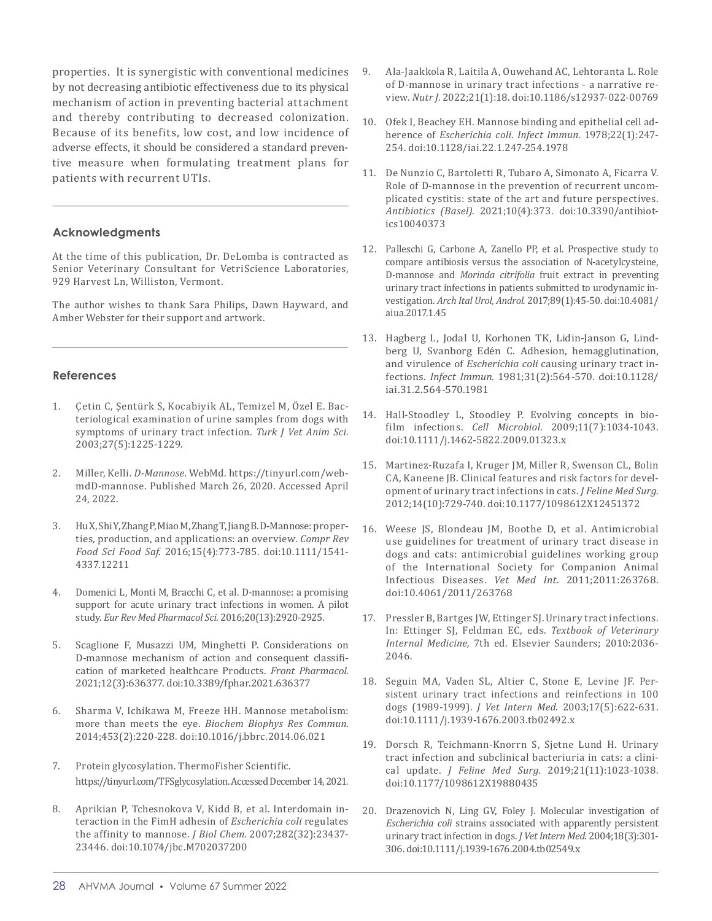properties. It is synergistic with conventional medicines by not decreasing antibiotic effectiveness due to its physical mechanism of action in preventing bacterial attachment and thereby contributing to decreased colonization. Because of its benefits, low cost, and low incidence of adverse effects, it should be considered a standard preventive measure when formulating treatment plans for patients with recurrent UTIs.

#### **Acknowledgments**

At the time of this publication, Dr. DeLomba is contracted as Senior Veterinary Consultant for VetriScience Laboratories, 929 Harvest Ln, Williston, Vermont.

The author wishes to thank Sara Philips, Dawn Hayward, and Amber Webster for their support and artwork.

#### **References**

- 1. Çetin C, Şentürk S, Kocabiyik AL, Temizel M, Özel E. Bacteriological examination of urine samples from dogs with symptoms of urinary tract infection. *Turk J Vet Anim Sci.* 2003;27(5):1225-1229.
- 2. Miller, Kelli. *D-Mannose.* WebMd. https://tinyurl.com/webmdD-mannose. Published March 26, 2020. Accessed April 24, 2022.
- 3. Hu X, Shi Y, Zhang P, Miao M, Zhang T, Jiang B. D-Mannose: properties, production, and applications: an overview. *Compr Rev Food Sci Food Saf*. 2016;15(4):773-785. doi:10.1111/1541- 4337.12211
- 4. Domenici L, Monti M, Bracchi C, et al. D-mannose: a promising support for acute urinary tract infections in women. A pilot study. *Eur Rev Med Pharmacol Sci*. 2016;20(13):2920-2925.
- 5. Scaglione F, Musazzi UM, Minghetti P. Considerations on D-mannose mechanism of action and consequent classification of marketed healthcare Products. *Front Pharmacol*. 2021;12(3):636377. doi:10.3389/fphar.2021.636377
- 6. Sharma V, Ichikawa M, Freeze HH. Mannose metabolism: more than meets the eye. *Biochem Biophys Res Commun*. 2014;453(2):220-228. doi:10.1016/j.bbrc.2014.06.021
- 7. Protein glycosylation. ThermoFisher Scientific. https://tinyurl.com/TFSglycosylation. Accessed December 14, 2021.
- 8. Aprikian P, Tchesnokova V, Kidd B, et al. Interdomain interaction in the FimH adhesin of *Escherichia coli* regulates the affinity to mannose. *J Biol Chem*. 2007;282(32):23437- 23446. doi:10.1074/jbc.M702037200
- 9. Ala-Jaakkola R, Laitila A, Ouwehand AC, Lehtoranta L. Role of D-mannose in urinary tract infections - a narrative review. *Nutr J*. 2022;21(1):18. doi:10.1186/s12937-022-00769
- 10. Ofek I, Beachey EH. Mannose binding and epithelial cell adherence of *Escherichia coli*. *Infect Immun*. 1978;22(1):247- 254. doi:10.1128/iai.22.1.247-254.1978
- 11. De Nunzio C, Bartoletti R, Tubaro A, Simonato A, Ficarra V. Role of D-mannose in the prevention of recurrent uncomplicated cystitis: state of the art and future perspectives. *Antibiotics (Basel)*. 2021;10(4):373. doi:10.3390/antibiotics10040373
- 12. Palleschi G, Carbone A, Zanello PP, et al. Prospective study to compare antibiosis versus the association of N-acetylcysteine, D-mannose and *Morinda citrifolia* fruit extract in preventing urinary tract infections in patients submitted to urodynamic investigation. *Arch Ital Urol, Androl*. 2017;89(1):45-50. doi:10.4081/ aiua.2017.1.45
- 13. Hagberg L, Jodal U, Korhonen TK, Lidin-Janson G, Lindberg U, Svanborg Edén C. Adhesion, hemagglutination, and virulence of *Escherichia coli* causing urinary tract infections. *Infect Immun*. 1981;31(2):564-570. doi:10.1128/ iai.31.2.564-570.1981
- 14. Hall-Stoodley L, Stoodley P. Evolving concepts in biofilm infections. *Cell Microbiol*. 2009;11(7):1034-1043. doi:10.1111/j.1462-5822.2009.01323.x
- 15. Martinez-Ruzafa I, Kruger JM, Miller R, Swenson CL, Bolin CA, Kaneene JB. Clinical features and risk factors for development of urinary tract infections in cats. *J Feline Med Surg*. 2012;14(10):729-740. doi:10.1177/1098612X12451372
- 16. Weese JS, Blondeau JM, Boothe D, et al. Antimicrobial use guidelines for treatment of urinary tract disease in dogs and cats: antimicrobial guidelines working group of the International Society for Companion Animal Infectious Diseases. *Vet Med Int*. 2011;2011:263768. doi:10.4061/2011/263768
- 17. Pressler B, Bartges JW, Ettinger SJ. Urinary tract infections. In: Ettinger SJ, Feldman EC, eds. *Textbook of Veterinary Internal Medicine,* 7th ed. Elsevier Saunders; 2010:2036- 2046.
- 18. Seguin MA, Vaden SL, Altier C, Stone E, Levine JF. Persistent urinary tract infections and reinfections in 100 dogs (1989-1999). *J Vet Intern Med*. 2003;17(5):622-631. doi:10.1111/j.1939-1676.2003.tb02492.x
- 19. Dorsch R, Teichmann-Knorrn S, Sjetne Lund H. Urinary tract infection and subclinical bacteriuria in cats: a clinical update. *J Feline Med Surg*. 2019;21(11):1023-1038. doi:10.1177/1098612X19880435
- 20. Drazenovich N, Ling GV, Foley J. Molecular investigation of *Escherichia coli* strains associated with apparently persistent urinary tract infection in dogs. *J Vet Intern Med*. 2004;18(3):301- 306. doi:10.1111/j.1939-1676.2004.tb02549.x